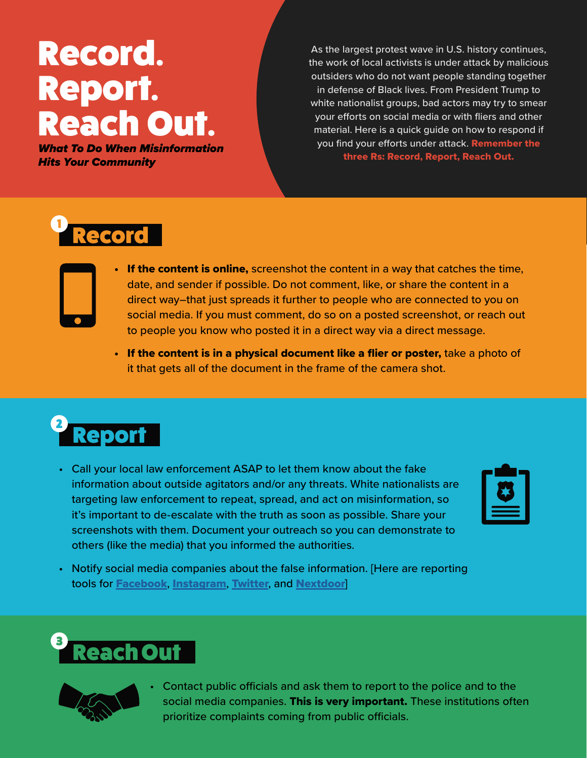# Record. Report. Reach Out.

What To Do When Misinformation Hits Your Community

As the largest protest wave in U.S. history continues, the work of local activists is under attack by malicious outsiders who do not want people standing together in defense of Black lives. From President Trump to white nationalist groups, bad actors may try to smear your efforts on social media or with fliers and other material. Here is a quick guide on how to respond if you find your efforts under attack. Remember the three Rs: Record, Report, Reach Out.

## **Record**

- If the content is online, screenshot the content in a way that catches the time, date, and sender if possible. Do not comment, like, or share the content in a direct way–that just spreads it further to people who are connected to you on social media. If you must comment, do so on a posted screenshot, or reach out to people you know who posted it in a direct way via a direct message.
	- If the content is in a physical document like a flier or poster, take a photo of it that gets all of the document in the frame of the camera shot.



• Call your local law enforcement ASAP to let them know about the fake information about outside agitators and/or any threats. White nationalists are targeting law enforcement to repeat, spread, and act on misinformation, so it's important to de-escalate with the truth as soon as possible. Share your screenshots with them. Document your outreach so you can demonstrate to others (like the media) that you informed the authorities.

| <b>Contract Contract Contract Contract Contract Contract Contract Contract Contract Contract Contract Contract Co</b> |
|-----------------------------------------------------------------------------------------------------------------------|
|                                                                                                                       |

• Notify social media companies about the false information. [Here are reporting tools for [Facebook](https://www.facebook.com/help/181495968648557), [Instagram](https://help.instagram.com/165828726894770), [Twitter](https://help.twitter.com/en/rules-and-policies/twitter-report-violation), and [Nextdoor](https://help.nextdoor.com/s/article/How-to-report-content?language=en_US)]





• Contact public officials and ask them to report to the police and to the social media companies. This is very important. These institutions often prioritize complaints coming from public officials.